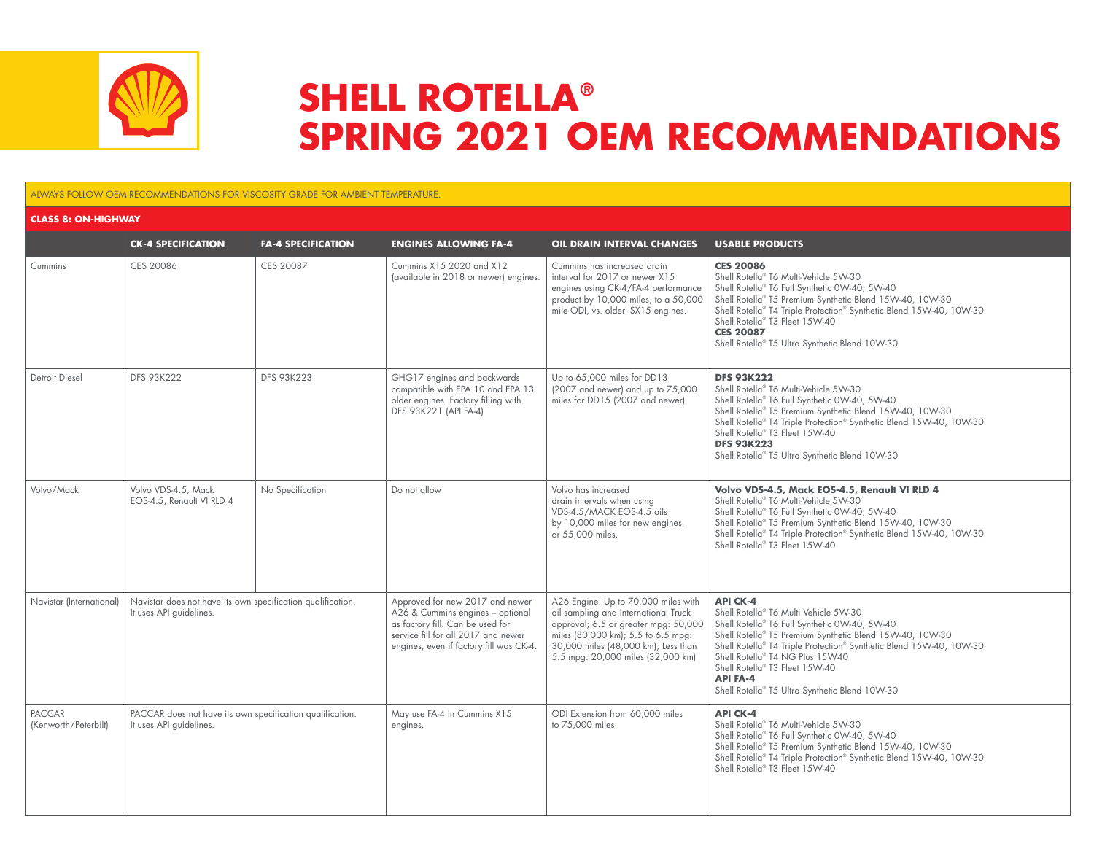

## **SHELL ROTELLA® SPRING 2021 OEM RECOMMENDATIONS**

## ALWAYS FOLLOW OEM RECOMMENDATIONS FOR VISCOSITY GRADE FOR AMBIENT TEMPERATURE.

| <b>CLASS 8: ON-HIGHWAY</b>            |                                                                                        |                           |                                                                                                                                                                                           |                                                                                                                                                                                                                                       |                                                                                                                                                                                                                                                                                                                                                                                        |  |  |
|---------------------------------------|----------------------------------------------------------------------------------------|---------------------------|-------------------------------------------------------------------------------------------------------------------------------------------------------------------------------------------|---------------------------------------------------------------------------------------------------------------------------------------------------------------------------------------------------------------------------------------|----------------------------------------------------------------------------------------------------------------------------------------------------------------------------------------------------------------------------------------------------------------------------------------------------------------------------------------------------------------------------------------|--|--|
|                                       | <b>CK-4 SPECIFICATION</b>                                                              | <b>FA-4 SPECIFICATION</b> | <b>ENGINES ALLOWING FA-4</b>                                                                                                                                                              | OIL DRAIN INTERVAL CHANGES                                                                                                                                                                                                            | <b>USABLE PRODUCTS</b>                                                                                                                                                                                                                                                                                                                                                                 |  |  |
| Cummins                               | CES 20086                                                                              | CES 20087                 | Cummins X15 2020 and X12<br>(available in 2018 or newer) engines.                                                                                                                         | Cummins has increased drain<br>interval for 2017 or newer X15<br>engines using CK-4/FA-4 performance<br>product by 10,000 miles, to a 50,000<br>mile ODI, vs. older ISX15 engines.                                                    | <b>CES 20086</b><br>Shell Rotella® T6 Multi-Vehicle 5W-30<br>Shell Rotella® T6 Full Synthetic 0W-40, 5W-40<br>Shell Rotella® T5 Premium Synthetic Blend 15W-40, 10W-30<br>Shell Rotella® T4 Triple Protection® Synthetic Blend 15W-40, 10W-30<br>Shell Rotella® T3 Fleet 15W-40<br><b>CES 20087</b><br>Shell Rotella® T5 Ultra Synthetic Blend 10W-30                                  |  |  |
| Detroit Diesel                        | <b>DFS 93K222</b>                                                                      | <b>DFS 93K223</b>         | GHG17 engines and backwards<br>compatible with EPA 10 and EPA 13<br>older engines. Factory filling with<br>DFS 93K221 (API FA-4)                                                          | Up to 65,000 miles for DD13<br>(2007 and newer) and up to 75,000<br>miles for DD15 (2007 and newer)                                                                                                                                   | <b>DFS 93K222</b><br>Shell Rotella® T6 Multi-Vehicle 5W-30<br>Shell Rotella® T6 Full Synthetic 0W-40, 5W-40<br>Shell Rotella® T5 Premium Synthetic Blend 15W-40, 10W-30<br>Shell Rotella® T4 Triple Protection® Synthetic Blend 15W-40, 10W-30<br>Shell Rotella® T3 Fleet 15W-40<br><b>DFS 93K223</b><br>Shell Rotella® T5 Ultra Synthetic Blend 10W-30                                |  |  |
| Volvo/Mack                            | Volvo VDS-4.5, Mack<br>EOS-4.5, Renault VI RLD 4                                       | No Specification          | Do not allow                                                                                                                                                                              | Volvo has increased<br>drain intervals when using<br>VDS-4.5/MACK EOS-4.5 oils<br>by 10,000 miles for new engines,<br>or 55,000 miles.                                                                                                | Volvo VDS-4.5, Mack EOS-4.5, Renault VI RLD 4<br>Shell Rotella <sup>®</sup> T6 Multi-Vehicle 5W-30<br>Shell Rotella® T6 Full Synthetic 0W-40, 5W-40<br>Shell Rotella® T5 Premium Synthetic Blend 15W-40, 10W-30<br>Shell Rotella® T4 Triple Protection® Synthetic Blend 15W-40, 10W-30<br>Shell Rotella® T3 Fleet 15W-40                                                               |  |  |
| Navistar (International)              | Navistar does not have its own specification qualification.<br>It uses API guidelines. |                           | Approved for new 2017 and newer<br>A26 & Cummins engines - optional<br>as factory fill. Can be used for<br>service fill for all 2017 and newer<br>engines, even if factory fill was CK-4. | A26 Engine: Up to 70,000 miles with<br>oil sampling and International Truck<br>approval; 6.5 or greater mpg: 50,000<br>miles (80,000 km); 5.5 to 6.5 mpg:<br>30,000 miles (48,000 km); Less than<br>5.5 mpg: 20,000 miles (32,000 km) | <b>API CK-4</b><br>Shell Rotella® T6 Multi Vehicle 5W-30<br>Shell Rotella® T6 Full Synthetic 0W-40, 5W-40<br>Shell Rotella® T5 Premium Synthetic Blend 15W-40, 10W-30<br>Shell Rotella® T4 Triple Protection® Synthetic Blend 15W-40, 10W-30<br>Shell Rotella® T4 NG Plus 15W40<br>Shell Rotella® T3 Fleet 15W-40<br><b>API FA-4</b><br>Shell Rotella® T5 Ultra Synthetic Blend 10W-30 |  |  |
| <b>PACCAR</b><br>(Kenworth/Peterbilt) | PACCAR does not have its own specification qualification.<br>It uses API guidelines.   |                           | May use FA-4 in Cummins X15<br>engines.                                                                                                                                                   | ODI Extension from 60,000 miles<br>to 75,000 miles                                                                                                                                                                                    | <b>API CK-4</b><br>Shell Rotella <sup>®</sup> T6 Multi-Vehicle 5W-30<br>Shell Rotella® T6 Full Synthetic 0W-40, 5W-40<br>Shell Rotella® T5 Premium Synthetic Blend 15W-40, 10W-30<br>Shell Rotella® T4 Triple Protection® Synthetic Blend 15W-40, 10W-30<br>Shell Rotella® T3 Fleet 15W-40                                                                                             |  |  |